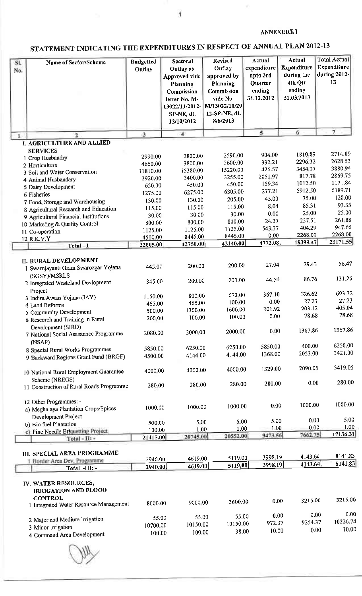#### **ANNEXURE I**

ý.

# STATEMENT INDICATING THE EXPENDITURES IN RESPECT OF ANNUAL PLAN 2012-13

 $\bar{1}$ 

| SI.<br>No. | Name of Sector/Scheme                                                                                           | <b>Budgetted</b><br>Outlay | Sectoral<br>Outlay as<br>Approved vide<br>Planning<br>Commission<br>letter No. M-<br>13022/11/2012-<br>SP-NE, dt.<br>12/10/2012 | <b>Revised</b><br>Outlay<br>approved by<br>Planning<br>Commission<br>vide No.<br>M/13022/11/20<br>12-SP-NE, dt.<br>8/8/2013 | Actual<br>expenditure<br>upto 3rd<br><b>Quarter</b><br>ending<br>31.12.2012 | Actual<br><b>Expenditure</b><br>during the<br>4th Qtr<br>ending<br>31.03.2013 | <b>Total Actual</b><br>Expenditure<br>during 2012-<br>13 |
|------------|-----------------------------------------------------------------------------------------------------------------|----------------------------|---------------------------------------------------------------------------------------------------------------------------------|-----------------------------------------------------------------------------------------------------------------------------|-----------------------------------------------------------------------------|-------------------------------------------------------------------------------|----------------------------------------------------------|
|            | 2                                                                                                               | -3                         | $\ddot{ }$                                                                                                                      |                                                                                                                             | 5                                                                           | 6                                                                             | 7                                                        |
|            | I. AGRICULTURE AND ALLIED                                                                                       |                            |                                                                                                                                 |                                                                                                                             |                                                                             |                                                                               |                                                          |
|            | <b>SERVICES</b>                                                                                                 |                            |                                                                                                                                 |                                                                                                                             |                                                                             | 1810.89                                                                       | 2714.89                                                  |
|            | 1 Crop Husbandry                                                                                                | 2990.00                    | 2800.00                                                                                                                         | 2590 00                                                                                                                     | 904 00<br>332.21                                                            | 2296.32                                                                       | 2628.53                                                  |
|            | 2 Horticulture                                                                                                  | 4660.00                    | 3800.00                                                                                                                         | 3600.00<br>15220.00                                                                                                         | 426.57                                                                      | 3454,37                                                                       | 3880.94                                                  |
|            | 3 Soil and Water Conservation                                                                                   | 11810.00                   | 15380.00<br>3400.00                                                                                                             | 3255.00                                                                                                                     | 2051,97                                                                     | 817.78                                                                        | 2869.75                                                  |
|            | 4 Animal Husbandary                                                                                             | 3920.00                    | 450.00                                                                                                                          | 450.00                                                                                                                      | 159.34                                                                      | 1012.50                                                                       | 1171.84                                                  |
|            | 5 Dairy Development                                                                                             | 650.00                     | 6275.00                                                                                                                         | 6305.00                                                                                                                     | 277.21                                                                      | 5912.50                                                                       | 6189.71                                                  |
|            | 6 Fisheries                                                                                                     | 1275.00                    | 130.00                                                                                                                          | 205.00                                                                                                                      | 45.00                                                                       | 75.00                                                                         | 120.00                                                   |
|            | 7 Food, Storage and Warehousing                                                                                 | 130.00                     | 115.00                                                                                                                          | 115.00                                                                                                                      | 8.04                                                                        | 85.31                                                                         | 93.35                                                    |
|            | 8 Agricultural Research and Education                                                                           | 115.00                     | 30.00                                                                                                                           | 30.00                                                                                                                       | 0.00                                                                        | 25,00                                                                         | 25.00                                                    |
|            | 9 Agricultural Financial Institutions                                                                           | 30.00<br>800.00            | 800.00                                                                                                                          | 800,00                                                                                                                      | 24.37                                                                       | 237.51                                                                        | 26188                                                    |
|            | 10 Marketing & Quality Control                                                                                  | 1125 00                    | 1125 00                                                                                                                         | 1125.00                                                                                                                     | 543 37                                                                      | 404.29                                                                        | 947.66                                                   |
|            | 11 Co-operation                                                                                                 | 4500.00                    | 8445.00                                                                                                                         | 8445.00                                                                                                                     | 0.00                                                                        | 2268.00                                                                       | 2268.00                                                  |
|            | 12 R.K.V.Y<br>Total - I                                                                                         | 32005.00                   | 42750.00                                                                                                                        | 42140.00                                                                                                                    | 4772.08                                                                     | 18399.47                                                                      | 23171.55                                                 |
|            |                                                                                                                 |                            |                                                                                                                                 |                                                                                                                             |                                                                             |                                                                               |                                                          |
|            | II. RURAL DEVELOPMENT<br>1 Swarnjayanti Gram Swarozgar Yojana<br>(SGSY)/MSRLS                                   | 445.00                     | 200.00                                                                                                                          | 200.00                                                                                                                      | 27.04                                                                       | 29.43                                                                         | 56.47                                                    |
|            | 2 Integrated Wasteland Devlopment<br>Project                                                                    | 345.00                     | 200.00                                                                                                                          | 200.00                                                                                                                      | 44.50                                                                       | 86.76                                                                         | 131.26                                                   |
|            | 3 Indira Awass Yojana (IAY)                                                                                     | 1150.00                    | 800,00                                                                                                                          | 672,00                                                                                                                      | 367.10                                                                      | 326.62                                                                        | 693.72                                                   |
|            | 4 Land Reforms                                                                                                  | 465.00                     | 465.00                                                                                                                          | 100.00                                                                                                                      | 0.00                                                                        | 27.23                                                                         | 27.23                                                    |
|            | 5 Community Development                                                                                         | 500.00                     | 1300 00                                                                                                                         | 1600.00                                                                                                                     | 201.92                                                                      | 203.12                                                                        | 405.04                                                   |
|            | 6 Research and Training in Rural                                                                                | 200,00                     | 100.00                                                                                                                          | 100.00                                                                                                                      | 0.00                                                                        | 78.68                                                                         | 78.68                                                    |
|            | Development (SIRD)<br>7 National Social Assistance Programme<br>(NSAP)                                          | 2080.00                    | 2000 00                                                                                                                         | 2000.00                                                                                                                     | 0.00                                                                        | 1367.86                                                                       | 1367.86                                                  |
|            | 8 Special Rural Works Programmes                                                                                | 5850.00                    | 6250.00                                                                                                                         | 6250.00                                                                                                                     | 5850.00                                                                     | 400.00                                                                        | 6250.00                                                  |
|            | 9 Backward Regions Grant Fund (BRGF)                                                                            | 4500.00                    | 4144.00                                                                                                                         | 4144.00                                                                                                                     | 1368.00                                                                     | 2053.00                                                                       | 3421.00                                                  |
|            | 10 National Rural Employment Guarantee                                                                          | 4000.00                    | 4000,00                                                                                                                         | 4000.00                                                                                                                     | 1329.00                                                                     | 2090.05                                                                       | 3419.05                                                  |
|            | Scheme (NREGS)                                                                                                  |                            |                                                                                                                                 | 280.00                                                                                                                      | 280.00                                                                      | 0.00                                                                          | 280.00                                                   |
|            | 11 Construction of Rural Roads Programme                                                                        | 280.00                     | 280.00                                                                                                                          |                                                                                                                             |                                                                             |                                                                               |                                                          |
|            | 12 Other Programmes: -<br>a) Meghalaya Plantation Crops/Spices                                                  | 1000.00                    | 1000.00                                                                                                                         | 1000.00                                                                                                                     | 0.00                                                                        | 1000.00                                                                       | 1000.00                                                  |
|            | Development Project                                                                                             | 500.00                     |                                                                                                                                 | 5.00<br>5 00                                                                                                                | 5.00                                                                        | 0.00                                                                          | 5.00                                                     |
|            | b) Bio fuel Plantation<br>c) Pine Needle Briquetting Project                                                    | 100.00                     |                                                                                                                                 | 1.00<br>1.00                                                                                                                | 1.00                                                                        | 0.00                                                                          | 1.00                                                     |
|            | Total - II: -                                                                                                   | 21415.00                   | 20745.00                                                                                                                        | 20552.00                                                                                                                    | 9473.56                                                                     | 7662.75                                                                       | 17136.31                                                 |
|            |                                                                                                                 |                            |                                                                                                                                 |                                                                                                                             |                                                                             |                                                                               |                                                          |
|            | <b>III. SPECIAL AREA PROGRAMME</b>                                                                              |                            |                                                                                                                                 |                                                                                                                             |                                                                             |                                                                               |                                                          |
|            | 1 Border Area Dev. Programme                                                                                    | 2940.00                    | 4619,00                                                                                                                         | 5119.00                                                                                                                     | 3998.19                                                                     | 4143.64                                                                       | 8141.83                                                  |
|            | Total -III: -                                                                                                   | 2940.00                    | 4619.00                                                                                                                         | 5119.00                                                                                                                     | 3998.19                                                                     | 4143.64                                                                       | 8141.83                                                  |
|            | IV. WATER RESOURCES,<br><b>IRRIGATION AND FLOOD</b><br><b>CONTROL</b><br>1 Integrated Water Resource Management | 8000.00                    | 9000.00                                                                                                                         | 3600.00                                                                                                                     | 0.00                                                                        | 3215.00                                                                       | 3215.00                                                  |
|            |                                                                                                                 |                            |                                                                                                                                 |                                                                                                                             |                                                                             |                                                                               |                                                          |
|            | 2 Major and Medium Irrigation                                                                                   |                            | 55.00                                                                                                                           | 55.00<br>55.00                                                                                                              | 0.00                                                                        | 0.00                                                                          | 0.00                                                     |
|            | 3 Minor Irrigation                                                                                              | 10700.00                   | 10150.00                                                                                                                        | 10150.00                                                                                                                    | 972.37                                                                      | 9254.37                                                                       | 10226.74                                                 |
|            | 4 Command Area Development                                                                                      | 100.00                     | 100.00                                                                                                                          | 38.00                                                                                                                       | 10.00                                                                       | 0.00                                                                          | 10.00                                                    |
|            |                                                                                                                 |                            |                                                                                                                                 |                                                                                                                             |                                                                             |                                                                               |                                                          |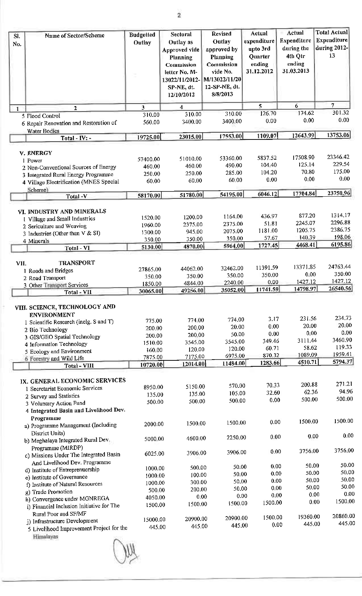$\overline{\mathbf{2}}$ 

| SI.<br>No.   | Name of Sector/Scheme                                                                                                                                                                                                                  | <b>Budgetted</b><br>Outlay                                 | Sectoral<br>Outlay as<br>Approved vide<br>Planning<br>Commission<br>letter No. M-<br>13022/11/2012-<br>SP-NE, dt.<br>12/10/2012 | <b>Revised</b><br>Outlay<br>approved by<br>Planning<br>Commission<br>vide No.<br>M/13022/11/20<br>12-SP-NE, dt.<br>8/8/2013 | Actual<br>expenditure<br>upto 3rd<br>Quarter<br>ending<br>31.12.2012 | Actual<br>Expenditure<br>during the<br>4th Qtr<br>ending<br>31.03.2013 | <b>Total Actual</b><br>Expenditure<br>during 2012-<br>13           |
|--------------|----------------------------------------------------------------------------------------------------------------------------------------------------------------------------------------------------------------------------------------|------------------------------------------------------------|---------------------------------------------------------------------------------------------------------------------------------|-----------------------------------------------------------------------------------------------------------------------------|----------------------------------------------------------------------|------------------------------------------------------------------------|--------------------------------------------------------------------|
| $\mathbf{I}$ | $\overline{\mathbf{2}}$                                                                                                                                                                                                                | 3                                                          | 4                                                                                                                               |                                                                                                                             | 5.                                                                   | 6                                                                      | $\overline{7}$                                                     |
|              | 5 Flood Control                                                                                                                                                                                                                        | 310.00                                                     | 310.00                                                                                                                          | 310.00                                                                                                                      | 126.70                                                               | 174.62                                                                 | 301.32                                                             |
|              | 6 Repair Renovation and Restoration of<br>Water Bodies                                                                                                                                                                                 | 560.00                                                     | 3400.00                                                                                                                         | 3400,00                                                                                                                     | 0.00                                                                 | 0.00                                                                   | 0.00                                                               |
|              | Total - $IV:$ -                                                                                                                                                                                                                        | 19725.00                                                   | 23015.00                                                                                                                        | 17553.00                                                                                                                    | 1109.07                                                              | 12643.99                                                               | 13753.06                                                           |
|              |                                                                                                                                                                                                                                        |                                                            |                                                                                                                                 |                                                                                                                             |                                                                      |                                                                        |                                                                    |
|              | V. ENERGY                                                                                                                                                                                                                              | 57400.00                                                   | 51010.00                                                                                                                        | 53360.00                                                                                                                    | 5837.52                                                              | 17508.90                                                               | 23346.42                                                           |
|              | 1 Power<br>2 Non-Conventional Sources of Energy                                                                                                                                                                                        | 460.00                                                     | 460.00                                                                                                                          | 490.00                                                                                                                      | 104 40                                                               | 125.14                                                                 | 229.54                                                             |
|              | 3 Integrated Rural Energy Programme                                                                                                                                                                                                    | 250.00                                                     | 250.00                                                                                                                          | 285.00                                                                                                                      | 104.20                                                               | 70.80                                                                  | 175.00                                                             |
|              | 4 Village Electrification (MNES Special                                                                                                                                                                                                | 60.00                                                      | 60.00                                                                                                                           | 60.00                                                                                                                       | 0.00                                                                 | 0.00                                                                   | 0.00                                                               |
|              | Scheme <sup>)</sup>                                                                                                                                                                                                                    |                                                            |                                                                                                                                 |                                                                                                                             |                                                                      |                                                                        |                                                                    |
|              | Total-V                                                                                                                                                                                                                                | 58170.00                                                   | 51780.00                                                                                                                        | 54195.00                                                                                                                    | 6046.12                                                              | 17704.84                                                               | 23750.96                                                           |
|              | VI. INDUSTRY AND MINERALS<br>I Village and Small Industries<br>2 Sericulture and Weaving<br>3 Industries (Other than V & SI)                                                                                                           | 1520.00<br>1960.00<br>1300 00<br>350.00                    | 1200.00<br>2375.00<br>945.00<br>350.00                                                                                          | 1164.00<br>2375.00<br>2075.00<br>350.00                                                                                     | 436.97<br>51.81<br>1181.00<br>57.67                                  | 877.20<br>2245.07<br>1205 75<br>140.39                                 | 1314.17<br>2296.88<br>2386.75<br>198.06                            |
|              | 4 Minerals<br>Total - VI                                                                                                                                                                                                               | 5130.00                                                    | 4870.00                                                                                                                         | 5964.00                                                                                                                     | 1727.45                                                              | 4468.41                                                                | 6195.86                                                            |
|              |                                                                                                                                                                                                                                        |                                                            |                                                                                                                                 |                                                                                                                             |                                                                      |                                                                        |                                                                    |
| VII.         | <b>TRANSPORT</b>                                                                                                                                                                                                                       | 27865.00                                                   | 44062.00                                                                                                                        | 32462.00                                                                                                                    | 11391.59                                                             | 13371.85                                                               | 24763.44                                                           |
|              | 1 Roads and Bridges<br>2 Road Transport                                                                                                                                                                                                | 350 00                                                     | 350.00                                                                                                                          | 350.00                                                                                                                      | 350.00                                                               | 0.00                                                                   | 350.00                                                             |
|              | 3 Other Transport Services                                                                                                                                                                                                             | 1850.00                                                    | 4844.00                                                                                                                         | 2240.00                                                                                                                     | 0.00                                                                 | 1427.12                                                                | 1427.12                                                            |
|              | Total - VII                                                                                                                                                                                                                            | 30065.00                                                   | 49256.00                                                                                                                        | 35052.00                                                                                                                    | 11741.59                                                             | 14798.97                                                               | 26540.56                                                           |
|              | VIII. SCIENCE, TECHNOLOGY AND<br><b>ENVIRONMENT</b><br>1 Scientific Research (inclg. S and T)<br>2 Bio Technology<br>3 GIS/GEO Spatial Technology<br>4 Information Technology<br>5 Ecology and Environment<br>6 Forestry and Wild Life | 775.00<br>200.00<br>200.00<br>1510.00<br>160.00<br>7875.00 | 774 00<br>200,00<br>200,00<br>3545.00<br>120.00<br>7175.00                                                                      | 774.00<br>20.00<br>50.00<br>3545,00<br>120.00<br>6975.00<br>11484.00                                                        | 3,17<br>0.00<br>0.00<br>349.46<br>60.71<br>870.32<br>1283.66         | 231.56<br>20.00<br>0.00<br>3111.44<br>58.62<br>1089.09<br>4510.71      | 234.73<br>20.00<br>0.00<br>3460.90<br>119.33<br>1959.41<br>5794.37 |
|              | <b>Total - VIII</b>                                                                                                                                                                                                                    | 10720.00                                                   | 12014.00                                                                                                                        |                                                                                                                             |                                                                      |                                                                        |                                                                    |
|              | IX. GENERAL ECONOMIC SERVICES<br>1 Secretariat Economic Services<br>2 Survey and Statistics<br>3 Voluntary Action Fund<br>4 Integrated Basin and Livelihood Dev.                                                                       | 8950.00<br>135.00<br>500.00                                | 5150 00<br>135.00<br>500.00                                                                                                     | 570.00<br>105.00<br>500.00                                                                                                  | 70.33<br>32.60<br>0.00                                               | 200.88<br>62.36<br>500.00                                              | 271.21<br>94.96<br>500.00                                          |
|              | Programme<br>a) Programme Management (Including                                                                                                                                                                                        | 2000.00                                                    | 1500 00                                                                                                                         | 1500.00                                                                                                                     | 0.00                                                                 | 1500.00                                                                | 1500.00                                                            |
|              | District Units)<br>b) Meghalaya Integrated Rural Dev<br>Programme (MIRDP)                                                                                                                                                              | 5000.00                                                    | 4600.00                                                                                                                         | 2250 00                                                                                                                     | 0.00                                                                 | 0.00                                                                   | 0.00                                                               |
|              | c) Missions Under The Integrated Basin<br>And Livelihood Dev. Programme                                                                                                                                                                | 6025.00                                                    | 3906.00                                                                                                                         | 3906.00                                                                                                                     | 0.00                                                                 | 3756.00                                                                | 3756.00                                                            |
|              | d) Institute of Entreprenuership                                                                                                                                                                                                       | 1000.00                                                    | 500.00                                                                                                                          | 50.00                                                                                                                       | 0.00                                                                 | 50.00                                                                  | 50.00                                                              |
|              | e) Institute of Governance                                                                                                                                                                                                             | 1000.00                                                    | 100.00                                                                                                                          | 50.00                                                                                                                       | 0.00                                                                 | 50.00                                                                  | 50.00<br>50.00                                                     |
|              | f) Institute of Natural Resources                                                                                                                                                                                                      | 1000.00                                                    | 300.00                                                                                                                          | 50.00                                                                                                                       | 0.00                                                                 | 50.00<br>50.00                                                         | 50.00                                                              |
|              | g) Trade Promotion                                                                                                                                                                                                                     | 500.00                                                     | 200.00                                                                                                                          | 50.00                                                                                                                       | 0.00<br>0.00                                                         | 0.00                                                                   | 0.00                                                               |
|              | h) Convergence under MGNREGA<br>i) Financial Inclusion Initiative for The                                                                                                                                                              | 4050.00<br>1500.00                                         | 0.00<br>1500.00                                                                                                                 | 0.00<br>1500.00                                                                                                             | 1500.00                                                              | 0.00                                                                   | 1500.00                                                            |
|              | Rural Poor and SF/MF                                                                                                                                                                                                                   | 15000.00                                                   | 20900.00                                                                                                                        | 20900 00                                                                                                                    | 1500.00                                                              | 19360.00                                                               | 20860.00                                                           |
|              | i) Infrastructure Development<br>5 Livelihood Improvement Project for the<br>Himalayas                                                                                                                                                 | 445.00                                                     | 445.00                                                                                                                          | 445.00                                                                                                                      | 0.00                                                                 | 445.00                                                                 | 445.00                                                             |

JA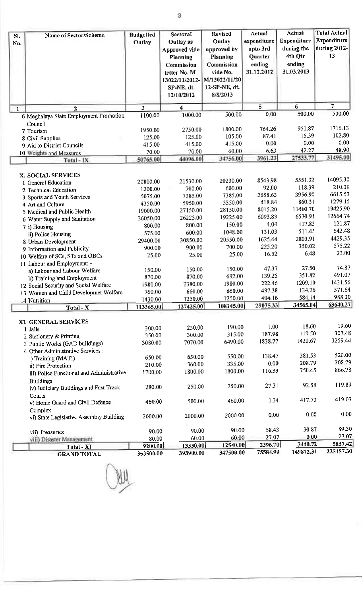| SI. | <b>Name of Sector/Scheme</b>                   | <b>Budgetted</b> | Sectoral             | <b>Revised</b>    | Actual          | Actual      | <b>Total Actual</b> |
|-----|------------------------------------------------|------------------|----------------------|-------------------|-----------------|-------------|---------------------|
| No. |                                                | Outlay           | Outlay as            | Outlay            | expenditure     | Expenditure | Expenditure         |
|     |                                                |                  | Approved vide        | approved by       | upto 3rd        | during the  | during 2012-        |
|     |                                                |                  | Planning             | Planning          | Quarter         | 4th Qtr     | 13                  |
|     |                                                |                  | Commission           | Commission        | ending          | ending      |                     |
|     |                                                |                  | letter No. M-        | vide No.          | 31.12.2012      | 31.03.2013  |                     |
|     |                                                |                  | 13022/11/2012-       | M/13022/11/20     |                 |             |                     |
|     |                                                |                  | SP-NE, dt.           | 12-SP-NE, dt.     |                 |             |                     |
|     |                                                |                  | 12/10/2012           | 8/8/2013          |                 |             |                     |
|     |                                                |                  |                      |                   |                 |             |                     |
| 1   | 2                                              | 3                | 4                    |                   | $\overline{5}$  | 6<br>500.00 | 7<br>500.00         |
|     | 6 Meghalaya State Employment Promotion         | 1100 00          | 1000.00              | 500.00            | 0.00            |             |                     |
|     | Council                                        | 1950.00          | 2750.00              | 1800.00           | 764.26          | 951.87      | 1716.13             |
|     | 7 Tourism                                      | 125.00           | 125.00               | 105.00            | 87.41           | 15.39       | 102.80              |
|     | 8 Civil Supplies<br>9 Aid to District Councils | 415.00           | 415.00               | 415 00            | 0.00            | 0.00        | 0.00                |
|     | 10 Weights and Measures                        | 70.00            | 70.00                | 60 00             | 6.63            | 42.27       | 48.90               |
|     | Total-IX                                       | 50765.00         | 44096.00             | 34756.00          | 3961.23         | 27533.77    | 31495.00            |
|     |                                                |                  |                      |                   |                 |             |                     |
|     | X. SOCIAL SERVICES                             |                  |                      |                   |                 |             |                     |
|     | 1 General Education                            | 20800.00         | 21530.00             | 20230.00          | 8543,98         | 5551.32     | 14095.30            |
|     | 2 Technical Education                          | 1200.00          | 700.00               | 600.00            | 92.00           | 118.39      | 210.39              |
|     | 3 Sports and Youth Services                    | 5075.00          | 7385 00              | 7385.00           | 2658.63         | 3956.90     | 6615.53             |
|     | 4 Art and Culture                              | 4350,00          | 5950.00              | 5350.00           | 418.84          | 860.31      | 1279.15             |
|     | 5 Medical and Public Health                    | 19000.00         | 27150.00             | 28150.00          | 8015.20         | 11410.70    | 19425.90            |
|     | 6 Water Supply and Sanitation                  | 26050.00         | 26225.00             | 19225.00          | 6093.83         | 6570.91     | 12664.74            |
|     | 7 i) Housing                                   | 800.00           | 800.00               | 150.00            | 4.04            | 117.83      | 121.87              |
|     | ii) Police Housing                             | 575.00           | 600.00               | 1048.00           | 131.03          | 511.45      | 642.48              |
|     | 8 Urban Development                            | 29400.00         | 30850.00             | 20550.00          | 1625 44         | 2803.91     | 4429.35<br>575.22   |
|     | 9 Information and Publicity                    | 900.00           | 900.00               | 700.00            | 225.20          | 350.02      | 23.00               |
|     | 10 Welfare of SCs, STs and OBCs                | 25.00            | 25.00                | 25.00             | 16.52           | 6.48        |                     |
|     | 11 Labour and Employment: -                    |                  |                      |                   |                 | 27.50       | 74 87               |
|     | a) Labour and Labour Welfare                   | 150.00           | 150.00               | 150.00            | 47.37<br>139.25 | 351.82      | 491.07              |
|     | b) Training and Employment                     | 870.00           | 870.00               | 692.00            | 222.46          | 1209.10     | 1431.56             |
|     | 12 Social Security and Social Welfare          | 1980.00          | 2380.00              | 1980 00           | 437.38          | 134,26      | 571.64              |
|     | 13 Women and Child Developmet Welfare          | 760,00           | 660 00               | 660.00<br>1250.00 | 404.16          | 584.14      | 988.30              |
|     | 14 Nutrition                                   | 1430.00          | 1250.00<br>127425.00 | 108145.00         | 29075.33        | 34565.04    | 63640.37            |
|     | Total - X                                      | 113365.00        |                      |                   |                 |             |                     |
|     | XI. GENERAL SERVICES                           |                  |                      |                   |                 |             |                     |
|     | 1 Jails                                        | 300.00           | 250.00               | 190.00            | 1,00            | 18.60       | 19.60               |
|     | 2 Stationery & Printing                        | 350.00           | 300.00               | 315.00            | 187.98          | 119.50      | 307 48              |
|     | 3 Public Works (GAD buildings)                 | 3080.00          | 7070.00              | 6490.00           | 1838,77         | 1420.67     | 3259.44             |
|     | 4 Other Administrative Services :              |                  |                      |                   |                 |             |                     |
|     | i) Training (MATI)                             | 650.00           | 650.00               | 550.00            | 138.47          | 381.53      | 520.00              |
|     | ii) Fire Protection                            | 210.00           | 360.00               | 335.00            | 0.00            | 208.79      | 208.79              |
|     | iii) Police Functional and Administrative      | 1700 00          | 180000               | 1800.00           | 116.33          | 750.45      | 866.78              |
|     | <b>Buildings</b>                               |                  |                      |                   |                 |             |                     |
|     | iv) Judiciary Buildings and Fast Track         | 280.00           | 250.00               | 250.00            | 27.31           | 92.58       | 119.89              |
|     | Courts                                         |                  |                      |                   |                 |             |                     |
|     | v) Home Guard and Civil Defence                | 460 00           | 500.00               | 460.00            | 1.34            | 417.73      | 419.07              |
|     | Complex                                        |                  |                      |                   |                 |             |                     |
|     | vi) State Legislative Assembly Building        | 2000.00          | 2000 00              | 2000.00           | 0.00            | 0.00        | 0.00                |

30.87

 $0.00$ 

3440.72

149872.31

90.00

60.00

12540.00

347500.00

90.00

 $60.00$ 

58.43

27.07

2396.70

75584.99

89.30

 $27.07$ 

5837.42

225457.30

 $\frac{80,00}{9200,00}$ vii) Disaster Management<br>Total - XI<br>GRAND TOTAL 13330.00 353500.00 393900.00

vii) Treasuries

90.00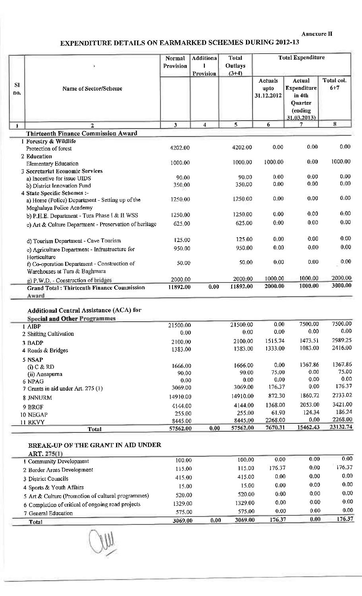Annexure II

# **EXPENDITURE DETAILS ON EARMARKED SCHEMES DURING 2012-13**

|                  | þ,                                                                          | Normal<br>Provision     | <b>Additiona</b><br>Provision | <b>Total</b><br>Outlays<br>$(3+4)$ |                                      | <b>Total Expenditure</b>                                                     |                       |
|------------------|-----------------------------------------------------------------------------|-------------------------|-------------------------------|------------------------------------|--------------------------------------|------------------------------------------------------------------------------|-----------------------|
| <b>SI</b><br>no. | Name of Sector/Scheme                                                       |                         |                               |                                    | <b>Actuals</b><br>upto<br>31.12.2012 | Actual<br><b>Expenditure</b><br>in 4th<br>Ouarter<br>(ending<br>31.03.2013). | Total col.<br>$6 + 7$ |
| 1                | $\overline{2}$                                                              | $\overline{\mathbf{3}}$ | $\overline{\bf{4}}$           | 5                                  | 6                                    | 7.                                                                           | 8                     |
|                  | <b>Thirteenth Finance Commission Award</b>                                  |                         |                               |                                    |                                      |                                                                              |                       |
|                  | 1 Forestry & Wildlife                                                       |                         |                               |                                    |                                      |                                                                              |                       |
|                  | Protection of forest                                                        | 4202.00                 |                               | 4202.00                            | 0.00                                 | 0.00                                                                         | 0.00                  |
|                  | 2 Education                                                                 |                         |                               |                                    |                                      |                                                                              | 1000.00               |
|                  | <b>Elementary Education</b>                                                 | 1000.00                 |                               | 1000.00                            | 1000.00                              | 0.00                                                                         |                       |
|                  | 3 Secretariat Economic Services                                             |                         |                               |                                    | 0.00                                 | 0.00                                                                         | 0.00                  |
|                  | a) Incentive for issue UIDS                                                 | 90.00                   |                               | 90.00<br>350.00                    | 0.00                                 | 0.00                                                                         | 0.00                  |
|                  | b) District Innovation Fund                                                 | 350,00                  |                               |                                    |                                      |                                                                              |                       |
|                  | 4 State Specific Schemes :-                                                 | 1250 00                 |                               | 1250.00                            | 0.00                                 | 0.00                                                                         | 0.00                  |
|                  | a) Home (Police) Department - Setting up of the<br>Meghalaya Police Academy |                         |                               |                                    |                                      |                                                                              |                       |
|                  | b) P.H.E. Department - Tura Phase I & II WSS                                | 1250.00                 |                               | 1250.00                            | 0.00                                 | 0.00                                                                         | 0.00                  |
|                  | c) Art & Culture Department - Preservation of heritage                      | 625 00                  |                               | 625.00                             | 0.00                                 | 0.00                                                                         | 0.00                  |
|                  |                                                                             |                         |                               |                                    |                                      |                                                                              |                       |
|                  | d) Tourism Department - Cave Tourism                                        | 125.00                  |                               | 125.00                             | 0.00                                 | 0.00                                                                         | 0.00                  |
|                  | e) Agriculture Department - Infrastructure for                              | 950.00                  |                               | 950.00                             | 0.00                                 | 0.00                                                                         | 0.00                  |
|                  | Horticulture                                                                |                         |                               |                                    |                                      |                                                                              |                       |
|                  | f) Co-operation Department - Construction of                                | 50.00                   |                               | 50.00                              | 0.00                                 | 0.00                                                                         | 0.00                  |
|                  | Warehouses at Tura & Baghmara                                               |                         |                               |                                    |                                      |                                                                              |                       |
|                  | g) P.W.D. - Construction of bridges                                         | 2000.00                 |                               | 2000.00                            | 1000.00                              | 1000.00                                                                      | 2000.00               |
|                  | <b>Grand Total: Thirteenth Finance Commission</b>                           | 11892.00                | 0.00                          | 11892.00                           | 2000.00                              | 1000.00                                                                      | 3000.00               |
|                  | Award                                                                       |                         |                               |                                    |                                      |                                                                              |                       |

## Additional Central Assistance (ACA) for

| <b>Special and Other Programmes</b> |          |      |          |         |          |          |
|-------------------------------------|----------|------|----------|---------|----------|----------|
| 1 AIBP                              | 21500.00 |      | 21500.00 | 0.00    | 7500.00  | 7500.00  |
| 2 Shifting Cultivation              | 0.00     |      | 0.00     | 0.00    | 0.00     | 0.00     |
| 3 BADP                              | 2100.00  |      | 2100.00  | 1515.74 | 1473.51  | 2989.25  |
| 4 Roads & Bridges                   | 1383.00  |      | 1383.00  | 1333.00 | 1083.00  | 2416.00  |
| 5 NSAP                              |          |      |          |         |          |          |
| $(i)$ C & RD                        | 1666.00  |      | 1666.00  | 0.00    | 1367.86  | 1367.86  |
| (ii) Annapurna                      | 90.00    |      | 90.00    | 75.00   | 0.00     | 75.00    |
| 6 NPAG                              | 0.00     |      | 0.00     | 0.00    | 0.00     | 0.00     |
| 7 Grants in aid under Art. 275 (1)  | 3069.00  |      | 3069.00  | 176.37  | 0.00     | 176.37   |
| 8 JNNURM                            | 1491000  |      | 14910.00 | 872.30  | 1860.72  | 2733.02  |
| 9 BRGF                              | 4144.00  |      | 4144.00  | 1368.00 | 2053.00  | 3421.00  |
| 10 NEGAP                            | 255.00   |      | 255.00   | 61.90   | 124.34   | 186.24   |
| 11 RKVY                             | 8445.00  |      | 8445.00  | 2268.00 | 0.00     | 2268.00  |
| Total                               | 57562.00 | 0.00 | 57562.00 | 7670.31 | 15462.43 | 23132.74 |

## BREAK-UP OF THE GRANT IN AID UNDER

| Total                                              | 3069.00 | 0.00 | 3069.00 | 176.37 | 0.00 | 176.37 |
|----------------------------------------------------|---------|------|---------|--------|------|--------|
| 7 General Education                                | 575.00  |      | 575.00  | 0.00   | 0.00 | 0.00   |
| 6 Completion of critical of ongoing road projects  | 1329.00 |      | 1329.00 | 0.00   |      |        |
|                                                    |         |      |         |        | 0.00 | 0.00   |
| 5 Art & Culture (Promotion of cultural programmes) | 520.00  |      | 520.00  | 0.00   | 0.00 | 0.00   |
| 4 Sports & Youth Affairs                           | 15.00   |      | 15.00   | 0.00   | 0.00 | 0.00   |
| 3 District Councils                                | 415.00  |      | 415.00  | 0.00   | 0.00 | 0.00   |
| 2 Border Areas Development                         | 115.00  |      | 115.00  | 176.37 | 0.00 | 176.37 |
| I Community Development                            | 100.00  |      | 100.00  | 0.00   | 0.00 | 0.00   |
| ART. 275(1)                                        |         |      |         |        |      |        |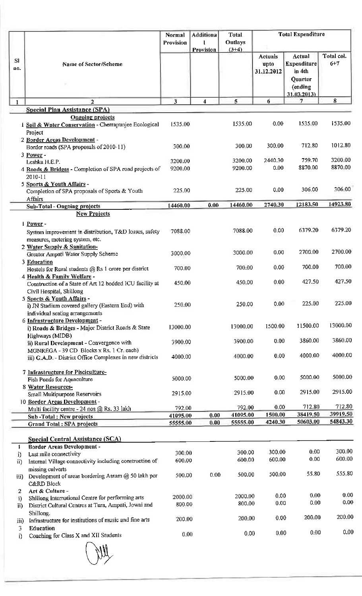|              |                                                                                                                        | Normal                  | <b>Additiona</b>        | <b>Total</b>         | <b>Total Expenditure</b>      |                                                                       |                       |
|--------------|------------------------------------------------------------------------------------------------------------------------|-------------------------|-------------------------|----------------------|-------------------------------|-----------------------------------------------------------------------|-----------------------|
|              |                                                                                                                        | Provision               | Provision               | Outlays<br>$(3+4)$   |                               |                                                                       |                       |
| SI<br>no.    | Name of Sector/Scheme                                                                                                  |                         |                         |                      | Actuals<br>upto<br>31.12.2012 | Actual<br>Expenditure<br>in 4th<br>Quarter<br>(ending<br>31.03.2013). | Total col.<br>$6 + 7$ |
| $\mathbf{1}$ | $\overline{2}$                                                                                                         | $\overline{\mathbf{3}}$ | $\overline{\mathbf{4}}$ | 5                    | 6                             | 7                                                                     | 8                     |
|              | Special Plan Assistance (SPA)<br><b>Ongoing projects</b>                                                               |                         |                         |                      |                               |                                                                       |                       |
|              | i Soil & Water Conservation - Cherrapunjee Ecological<br>Project<br>2 Border Areas Development -                       | 1535.00                 |                         | 1535.00              | 0.00                          | 1535.00                                                               | 1535.00               |
|              | Border roads (SPA proposals of 2010-11)<br>3 Power -                                                                   | 300.00                  |                         | 300,00               | 300.00                        | 712.80                                                                | 1012.80               |
|              | Leshka H.E.P.                                                                                                          | 3200.00                 |                         | 3200.00              | 2440.30                       | 759.70                                                                | 3200.00               |
|              | 4 Roads & Bridges - Completion of SPA road projects of<br>2010-11                                                      | 9200.00                 |                         | 9200.00              | 0.00                          | 8870.00                                                               | 8870.00               |
|              | 5 Sports & Youth Affairs -<br>Completion of SPA proposals of Sports & Youth<br>Affairs                                 | 225.00                  |                         | 225,00               | 0.00                          | 306.00                                                                | 306.00                |
|              | Sub-Total - Ongoing projects                                                                                           | 14460.00                | 0.00                    | 14460.00             | 2740.30                       | 12183.50                                                              | 14923.80              |
|              | New Projects                                                                                                           |                         |                         |                      |                               |                                                                       |                       |
|              | 1 Power -<br>System improvement in distribution, T&D losses, safety<br>measures, metering system, etc.                 | 7088.00                 |                         | 7088,00              | 0.00                          | 6379.20                                                               | 6379.20               |
|              | 2 Water Supply & Sanitation-<br>Greater Ampati Water Supply Scheme                                                     | 3000,00                 |                         | 3000.00              | 0.00                          | 2700.00                                                               | 2700.00               |
|              | 3 Education<br>Hostels for Rural students @ Rs 1 crore per district<br>4 Health & Family Welfare -                     | 700.00                  |                         | 700.00               | 0.00                          | 700.00                                                                | 700.00                |
|              | Construction of a State of Art 12 bedded ICU facility at<br>Civil Hospital, Shillong                                   | 450.00                  |                         | 450.00               | 0.00                          | 427.50                                                                | 427.50                |
|              | 5 Sports & Youth Affairs -<br>i) JN Stadium covered gallery (Eastern End) with<br>individual seating arrangements      | 250.00                  |                         | 250.00               | 0.00                          | 225.00                                                                | 225.00                |
|              | 6 Infrastructure Development-<br>i) Roads & Bridges - Major District Roads & State                                     | 13000.00                |                         | 13000.00             | 1500.00                       | 11500.00                                                              | 13000.00              |
|              | Highways (MIDB)<br>ii) Rural Development - Convergence with<br>MGNREGA - 39 CD Blocks x Rs. 1 Cr each)                 | 3900.00                 |                         | 3900.00              | 0.00                          | 3860.00                                                               | 3860.00               |
|              | iii) G.A.D - District Office Complexes in new districts                                                                | 4000.00                 |                         | 4000.00              | 0.00                          | 4000,00                                                               | 4000.00               |
|              | 7 Infrastructure for Pisciculture-<br>Fish Ponds for Aquaculture                                                       | 5000.00                 |                         | 5000.00              | 0.00                          | 5000.00                                                               | 5000.00               |
|              | 8 Water Resources-<br>Small Multipurpose Reservoirs                                                                    | 2915.00                 |                         | 2915.00              | 0.00                          | 2915.00                                                               | 2915.00               |
|              | 10 Border Areas Development -                                                                                          |                         |                         |                      |                               |                                                                       |                       |
|              | Multi facility centre - 24 nos @ Rs. 33 lakh                                                                           | 792.00                  |                         | 792.00               | 0.00                          | 712.80                                                                | 712.80                |
|              | Sub-Total: New projects                                                                                                | 41095.00                | 0.00<br>0.00            | 41095.00<br>55555.00 | 1500.00<br>4240.30            | 38419.50<br>50603.00                                                  | 39919.50<br>54843.30  |
|              | Grand Total: SPA projects                                                                                              | 55555.00                |                         |                      |                               |                                                                       |                       |
|              | <b>Special Central Assistance (SCA)</b>                                                                                |                         |                         |                      |                               |                                                                       |                       |
| 1            | Border Areas Development -                                                                                             |                         |                         |                      |                               | 0.00                                                                  | 300.00                |
| i)<br>ii)    | Last mile connectivity<br>Internal Village connectivity including construction of                                      | 300.00<br>600.00        |                         | 300.00<br>600,00     | 300.00<br>600.00              | 0.00                                                                  | 600.00                |
|              | missing culverts                                                                                                       |                         |                         |                      |                               |                                                                       |                       |
| iii)         | Development of areas bordering Assam @ 50 lakh per<br>C&RD Block                                                       | 500.00                  | 0.00                    | 500.00               | 500.00                        | 55.80                                                                 | 555.80                |
| 2            | Art & Culture-                                                                                                         | 2000.00                 |                         | 2000.00              | 0.00                          | 0.00                                                                  | 0.00                  |
| i)<br>ii)    | Shillong International Centre for performing arts<br>District Cultural Centres at Tura, Ampati, Jowai and<br>Shillong. | 800.00                  |                         | 800.00               | 0.00                          | 0.00                                                                  | 0.00                  |
| iii)<br>3    | Infrastructure for institutions of music and fine arts<br>Education                                                    | 200.00                  |                         | 200.00               | 0.00                          | 200.00                                                                | 200.00                |
| i)           | Coaching for Class X and XII Students                                                                                  | 0.00                    |                         | 0.00                 | 0.00                          | 0.00                                                                  | 0.00 <sub>1</sub>     |
|              |                                                                                                                        |                         |                         |                      |                               |                                                                       |                       |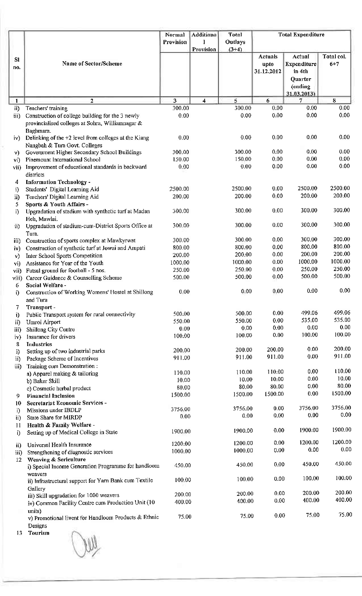|       |                                                       | Normal    | Additiona          | <b>Total</b> |                | <b>Total Expenditure</b> |            |
|-------|-------------------------------------------------------|-----------|--------------------|--------------|----------------|--------------------------|------------|
|       |                                                       | Provision |                    | Outlays      |                |                          |            |
|       |                                                       |           | Provision          | $(3+4)$      |                |                          |            |
| SI    |                                                       |           |                    |              | <b>Actuals</b> | Actual                   | Total col. |
| no.   | Name of Sector/Scheme                                 |           |                    |              | upto           | Expenditure              | $6 + 7$    |
|       |                                                       |           |                    |              | 31.12.2012     | in 4th                   |            |
|       |                                                       |           |                    |              |                | Quarter                  |            |
|       |                                                       |           |                    |              |                | (ending                  |            |
|       |                                                       |           |                    |              |                | 31.03.2013)              |            |
| 1     | 2                                                     | 3         | $\overline{\bf 4}$ | 5            | 6              | 7                        | 8          |
| ii)   | Teachers' training                                    | 300.00    |                    | 300.00       | 0.00           | 0.00                     | 0.00       |
| iii)  | Construction of college building for the 3 newly      | 0.00      |                    | 0.00         | 0.00           | 0.00                     | 0.00       |
|       | provincialised colleges at Sohra, Williamnagar &      |           |                    |              |                |                          |            |
|       | Baghmara.                                             |           |                    |              |                |                          |            |
| iv)   | Delinking of the +2 level from colleges at the Kiang  | 0.00      |                    | 0.00         | 0.00           | 0.00                     | 0.00       |
|       | Nangbah & Tura Govt. Colleges                         |           |                    |              |                |                          |            |
| v)    | Government Higher Secondary School Buildings          | 300.00    |                    | 300.00       | 0.00           | 0.00                     | 0.00       |
| vi)   | Pinemount International School                        | 150.00    |                    | 150 00       | 0.00           | 0.00                     | 0.00       |
| vii)  | Improvement of educational standards in backward      | 0.00      |                    | 0.00         | 0.00           | 0.00                     | 0.00       |
|       | districts                                             |           |                    |              |                |                          |            |
| 4     | <b>Information Technology -</b>                       |           |                    |              |                |                          |            |
| i)    | Students' Digital Learning Aid                        | 2500.00   |                    | 2500.00      | 0.00           | 2500.00                  | 2500.00    |
| ii)   | Teachers' Digital Learning Aid                        | 200.00    |                    | 200.00       | 0.00           | 200.00                   | 200.00     |
| 5     | Sports & Youth Affairs -                              |           |                    |              |                |                          |            |
| i)    | Upgradation of stadium with synthetic turf at Madan   | 300.00    |                    | 300.00       | 0.00           | 300.00                   | 300.00     |
|       | Heh, Mawlai.                                          |           |                    |              |                |                          |            |
| ii)   | Upgradation of stadium-cum-District Sports Office at  | 300 00    |                    | 300.00       | 0.00           | 300.00                   | 300.00     |
|       | Tura.                                                 |           |                    |              |                |                          |            |
| iii)  | Construction of sports complex at Mawkyrwat           | 300.00    |                    | 300.00       | 0.00           | 300.00                   | 300.00     |
| iv)   | Construction of synthetic turf at Jowai and Ampati    | 800.00    |                    | 800.00       | 0.00           | 800.00                   | 800.00     |
| v)    | Inter School Sports Competition                       | 200.00    |                    | 200.00       | 0.00           | 200.00                   | 200.00     |
| vi)   | Assistance for Year of the Youth                      | 1000.00   |                    | 1000.00      | 0.00           | 1000.00                  | 1000.00    |
| vii)  | Futsal ground for football - 5 nos.                   | 250.00    |                    | 250.00       | 0.00           | 250.00                   | 250.00     |
| viii) | Career Guidance & Counselling Scheme                  | 500.00    |                    | 500.00       | 0.00           | 500.00                   | 500.00     |
| 6     | Social Welfare -                                      |           |                    |              |                |                          |            |
| i)    | Construction of Working Womens' Hostel at Shillong    | 0.00      |                    | 0,00         | 0.00           | 0.00                     | 0.00       |
|       | and Tura                                              |           |                    |              |                |                          |            |
| 7     | Transport-                                            |           |                    |              |                |                          |            |
| i)    | Public Transport system for rural connectivity        | 500.00    |                    | 500,00       | 0.00           | 499.06                   | 499.06     |
| ii)   | Umroi Airport                                         | 550.00    |                    | 550.00       | 0.00           | 535.00                   | 535.00     |
| iii)  | Shillong City Centre                                  | 0.00      |                    | 0.00         | 0.00           | 0.00                     | 0.00       |
| iv)   | Insurance for drivers                                 | 100.00    |                    | 100.00       | 0.00           | 100.00                   | 100.00     |
| 8     | <b>Industries</b>                                     |           |                    |              |                |                          |            |
| i)    | Setting up of two industrial parks                    | 200.00    |                    | 200.00       | 200.00         | 0.00                     | 200.00     |
| ii)   | Package Scheme of Incentives                          | 911.00    |                    | 911.00       | 911.00         | 0.00                     | 911.00     |
| iii)  | Training cum Demonstration:                           |           |                    |              |                |                          |            |
|       | a) Apparel making & tailoring                         | 110 00    |                    | 110.00       | 110.00         | 0.00                     | 110.00     |
|       | b) Baker Skill                                        | 10.00     |                    | 10.00        | 10.00          | 0.00                     | 10.00      |
|       | c) Cosmetic herbal product                            | 80.00     |                    | 80.00        | 80.00          | 0.00                     | 80.00      |
| 9     | <b>Financial Inclusion</b>                            | 1500.00   |                    | 1500.00      | 1500.00        | 0.00                     | 1500.00    |
| 10    | Secretariat Economic Services -                       |           |                    |              |                |                          |            |
| i)    | Missions under IBDLP                                  | 3756,00   |                    | 3756.00      | 0.00           | 3756,00                  | 3756.00    |
| ii)   | State Share for MIRDP                                 | 0.00      |                    | 0.00         | 0.00           | 0.00                     | 0.00       |
| 11    | Health & Family Welfare -                             |           |                    |              |                |                          |            |
| i)    | Setting up of Medical College in State                | 1900.00   |                    | 1900.00      | 0.00           | 1900.00                  | 1900.00    |
|       |                                                       |           |                    |              |                |                          |            |
| ii)   | Universal Health Insurance                            | 1200.00   |                    | 1200 00      | 0.00           | 1200.00                  | 1200.00    |
| iii)  | Strengthening of diagnostic services                  | 1000.00   |                    | 1000.00      | 0.00           | 0.00                     | 0.00       |
| 12    | Weaving & Sericulture                                 |           |                    |              |                |                          |            |
|       | i) Special Income Generation Programme for handloom   | 450.00    |                    | 450.00       | 0.00           | 450.00                   | 450.00     |
|       | weavers                                               |           |                    |              |                |                          |            |
|       | ii) Infrastructural support for Yarn Bank cum Textile | 100 00    |                    | 100 00       | 0.00           | 100.00                   | 100.00     |
|       | Gallery                                               |           |                    |              |                |                          |            |
|       | iii) Skill upgradation for 1000 weavers               | 200.00    |                    | 200.00       | 0.00           | 200.00                   | 200.00     |
|       | iv) Common Facility Centre cum Production Unit (10    | 400.00    |                    | 400.00       | 0.00           | 400.00                   | 400.00     |
|       | units)                                                |           |                    |              |                |                          |            |
|       | v) Promotional Event for Handloom Products & Ethnic   | 75.00     |                    | 75.00        | 0.00           | 75.00                    | 75.00      |
|       | Designs                                               |           |                    |              |                |                          |            |

13 Tourism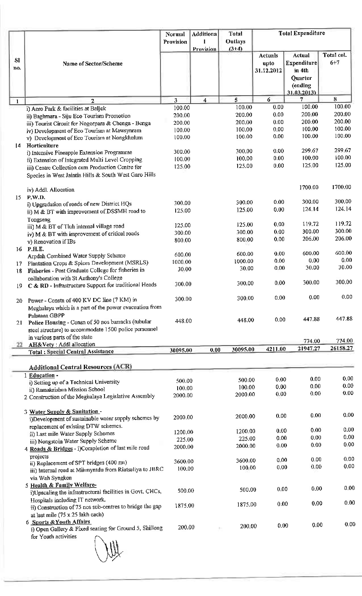|                 |                                                                                                           | Normal           | <b>Additiona</b> | Total             |              | <b>Total Expenditure</b> |            |
|-----------------|-----------------------------------------------------------------------------------------------------------|------------------|------------------|-------------------|--------------|--------------------------|------------|
|                 |                                                                                                           | Provision        |                  | <b>Outlays</b>    |              |                          |            |
|                 |                                                                                                           |                  | Provision        | $(3+4)$           | Actuals      | Actual                   | Total col. |
| SI              | Name of Sector/Scheme                                                                                     |                  |                  |                   | upto         | Expenditure              | $6 + 7$    |
| no.             |                                                                                                           |                  |                  |                   | 31.12.2012   | in 4th                   |            |
|                 |                                                                                                           |                  |                  |                   |              | Quarter                  |            |
|                 |                                                                                                           |                  |                  |                   |              | (ending                  |            |
|                 |                                                                                                           | 3                | 4                | 5                 | 6            | 31.03.2013)<br>7         | 8          |
| 1               | $\overline{2}$<br>i) Aero Park & facilities at Baljek                                                     | 100.00           |                  | 100.00            | 0.00         | 100.00                   | 100.00     |
|                 | ii) Baghmara - Siju Eco Tourism Promotion                                                                 | 200.00           |                  | 200.00            | 0.00         | 200.00                   | 200.00     |
|                 | iii) Tourist Circuit for Nogorpara & Chenga - Benga                                                       | 200.00           |                  | 200.00            | 0.00         | 200.00                   | 200.00     |
|                 | iv) Development of Eco Tourism at Mawsynram                                                               | 100.00           |                  | 100.00            | 0.00         | 100.00                   | 100.00     |
|                 | v) Development of Eco Tourism at Nongkhulum                                                               | 100.00           |                  | 100 00            | 0.00         | 100.00                   | 100.00     |
| $\mathsf{I}4$   | Horticulture                                                                                              |                  |                  |                   |              |                          | 299.67     |
|                 | i) Intensive Pineapple Extension Programme                                                                | 300.00           |                  | 300.00<br>100.00  | 0.00<br>0.00 | 299.67<br>100.00         | 100.00     |
|                 | ii) Extension of Integrated Multi Level Cropping                                                          | 100 00<br>125 00 |                  | 125.00            | 0.00         | 125.00                   | 125.00     |
|                 | iii) Centre Collection cum Production Centre for<br>Species in West Jaintia Hills & South West Garo Hills |                  |                  |                   |              |                          |            |
|                 |                                                                                                           |                  |                  |                   |              |                          |            |
|                 | iv) Addl. Allocation                                                                                      |                  |                  |                   |              | 1700.00                  | 1700.00    |
| 15 <sup>2</sup> | P.W.D.                                                                                                    |                  |                  |                   |              |                          |            |
|                 | i) Upgradation of roads of new District HQs                                                               | 300.00           |                  | 300.00            | 0.00         | 300.00                   | 300.00     |
|                 | ii) M & BT with improvement of DSSMH road to                                                              | 125:00           |                  | 125.00            | 0.00         | 124.14                   | 124.14     |
|                 | Tongseng                                                                                                  |                  |                  | 125.00            | 0.00         | 119.72                   | 119.72     |
|                 | iii) M & BT of Tluh internal village road                                                                 | 125.00<br>300.00 |                  | 300.00            | 0.00         | 300.00                   | 300.00     |
|                 | iv) M & BT with improvement of critical roads                                                             | 800.00           |                  | 800.00            | 0.00         | 206.00                   | 206.00     |
| 16              | v) Renovation if IBs<br>P.H.E.                                                                            |                  |                  |                   |              |                          |            |
|                 | Arpdah Combined Water Supply Scheme                                                                       | 600.00           |                  | 600.00            | 0.00         | 600.00                   | 600.00     |
| 17              | Plantation Crops & Spices Development (MSRLS)                                                             | 1000 00          |                  | 1000.00           | 0.00         | 0.00                     | 0,00       |
| 18              | Fisheries - Post Graduate College for fisheries in                                                        | 30,00            |                  | 30.00             | 0.00         | 30.00                    | 30.00      |
|                 | collaboration with St Anthony's College                                                                   |                  |                  |                   |              |                          | 300.00     |
| 19.             | C & RD - Infrastructure Support for traditional Heads                                                     | 300.00           |                  | 300.00            | 0.00         | 300.00                   |            |
|                 |                                                                                                           | 300.00           |                  | 300.00            | 0.00         | 0.00                     | 0.00       |
| 20              | Power - Constn of 400 KV DC line (7 KM) in<br>Meghalaya which is a part of the power evacuation from      |                  |                  |                   |              |                          |            |
|                 | Palatana GBPP                                                                                             |                  |                  |                   |              |                          |            |
| 21              | Police Housing - Consn of 50 nos barracks (tubular                                                        | 448.00           |                  | 448.00            | 0.00         | 447.88                   | 447.88     |
|                 | steel structure) to accommodate 1500 police personnel                                                     |                  |                  |                   |              |                          |            |
|                 | in various parts of the state                                                                             |                  |                  |                   |              | 774.00                   | 774.00     |
| 22.             | AH&Vety : Addl allocation                                                                                 | 30095.00         | 0.00             | 30095.00          | 4211.00      | 21947.27                 | 26158.27   |
|                 | <b>Total: Special Central Assistance</b>                                                                  |                  |                  |                   |              |                          |            |
|                 | <b>Additional Central Resources (ACR)</b>                                                                 |                  |                  |                   |              |                          |            |
|                 | 1 Education -                                                                                             |                  |                  |                   |              |                          |            |
|                 | i) Setting up of a Technical University                                                                   | 500.00           |                  | 500.00            | 0.00         | 0.00                     | 0.00       |
|                 | ii) Ramakrishna Mission School                                                                            | 100.00           |                  | 100.00            | 0.00         | 0.00                     | 0.00       |
|                 | 2 Construction of the Meghalaya Legislative Assembly                                                      | 2000,00          |                  | 2000.00           | 0.00         | 0.00                     | 0.00       |
|                 |                                                                                                           |                  |                  |                   |              |                          |            |
|                 | 3 Water Supply & Sanitation -                                                                             | 2000.00          |                  | 2000.00           | 0.00         | 0.00                     | 0.00       |
|                 | i)Development of sustainable water supply schemes by<br>replacement of existing DTW schemes.              |                  |                  |                   |              |                          |            |
|                 | ii) Last mile Water Supply Schemes                                                                        | 1200.00          |                  | 1200.00           | 0.00         | 0.00                     | 0.00       |
|                 | iii) Nongstoin Water Supply Scheme                                                                        | 225.00           |                  | 225.00            | 0.00         | 0.00                     | 0.00       |
|                 | 4 Roads & Bridges - i)Completion of last mile road                                                        | 2000.00          |                  | 2000.00           | 0.00         | 0.00                     | 0.00       |
|                 | projects                                                                                                  |                  |                  |                   |              | 0.00                     | 0.00       |
|                 | ii) Replacement of SPT bridges (400 rm)                                                                   | 3600.00          |                  | 3600.00<br>100 00 | 0.00<br>0.00 | 0.00                     | 0.00       |
|                 | iii) Internal road at Mihmyntdu from Riatsaliya to JBRC                                                   | 100.00           |                  |                   |              |                          |            |
|                 | via Wah Syngkon                                                                                           |                  |                  |                   |              |                          |            |
|                 | 5 Health & Family Welfare-<br>i)Upscaling the infrastructural facilities in Govt. CHCs,                   | 500.00           |                  | 500.00            | 0.00         | 0.00                     | 0.00       |
|                 | Hospitals including IT network.                                                                           |                  |                  |                   |              |                          |            |
|                 | ii) Construction of 75 nos sub-centres to bridge the gap                                                  | 1875.00          |                  | 1875.00           | 0.00         | 0.00                     | 0.00       |
|                 | at last mile (75 x 25 lakh each)                                                                          |                  |                  |                   |              |                          |            |
|                 | 6 Sports & Youth Affairs                                                                                  |                  |                  |                   |              | 0.00                     | 0.00       |
|                 | i) Open Gallery & Fixed seating for Ground 5, Shillong                                                    | 200.00           |                  | 200.00            | 0.00         |                          |            |
|                 | for Youth activities                                                                                      |                  |                  |                   |              |                          |            |
|                 |                                                                                                           |                  |                  |                   |              |                          |            |
|                 |                                                                                                           |                  |                  |                   |              |                          |            |
|                 |                                                                                                           |                  |                  |                   |              |                          |            |